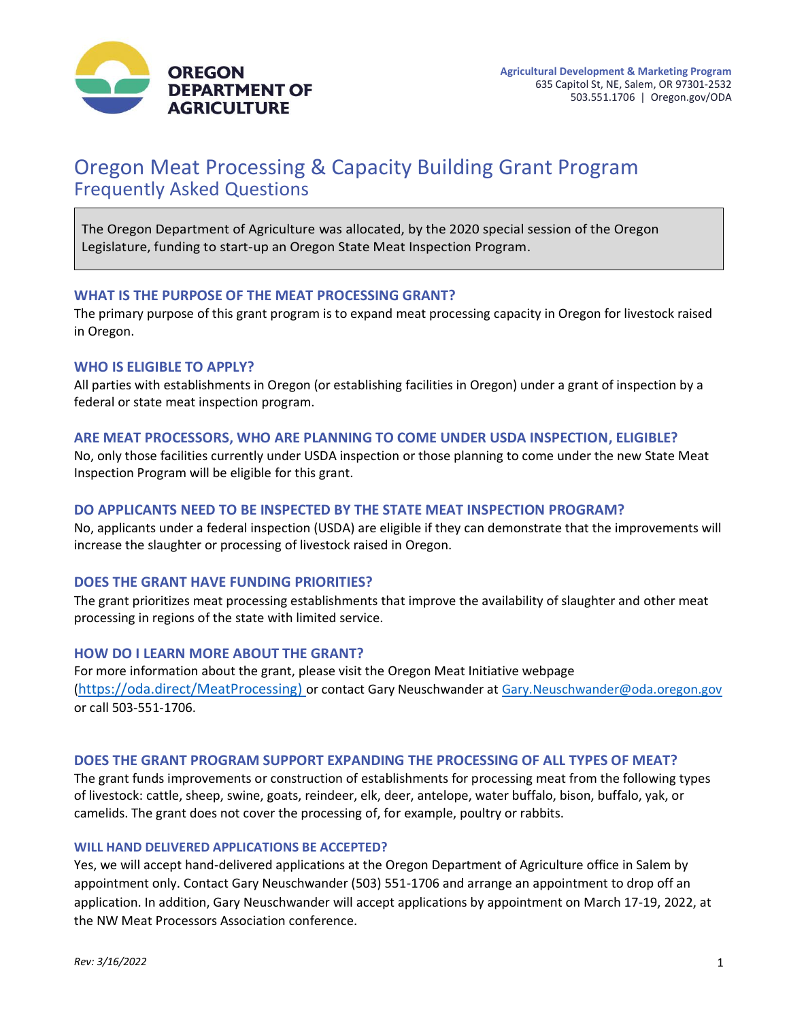

# Oregon Meat Processing & Capacity Building Grant Program Frequently Asked Questions

The Oregon Department of Agriculture was allocated, by the 2020 special session of the Oregon Legislature, funding to start-up an Oregon State Meat Inspection Program.

#### **WHAT IS THE PURPOSE OF THE MEAT PROCESSING GRANT?**

The primary purpose of this grant program is to expand meat processing capacity in Oregon for livestock raised in Oregon.

#### **WHO IS ELIGIBLE TO APPLY?**

All parties with establishments in Oregon (or establishing facilities in Oregon) under a grant of inspection by a federal or state meat inspection program.

#### **ARE MEAT PROCESSORS, WHO ARE PLANNING TO COME UNDER USDA INSPECTION, ELIGIBLE?**

No, only those facilities currently under USDA inspection or those planning to come under the new State Meat Inspection Program will be eligible for this grant.

## **DO APPLICANTS NEED TO BE INSPECTED BY THE STATE MEAT INSPECTION PROGRAM?**

No, applicants under a federal inspection (USDA) are eligible if they can demonstrate that the improvements will increase the slaughter or processing of livestock raised in Oregon.

#### **DOES THE GRANT HAVE FUNDING PRIORITIES?**

The grant prioritizes meat processing establishments that improve the availability of slaughter and other meat processing in regions of the state with limited service.

#### **HOW DO I LEARN MORE ABOUT THE GRANT?**

For more information about the grant, please visit the Oregon Meat Initiative webpage ([https://oda.direct/MeatProcessing\)](https://oda.direct/MeatProcessing) or contact Gary Neuschwander at [Gary.Neuschwander@oda.oregon.gov](mailto:Gary.Neuschwander@oda.oregon.gov) or call 503-551-1706.

#### **DOES THE GRANT PROGRAM SUPPORT EXPANDING THE PROCESSING OF ALL TYPES OF MEAT?**

The grant funds improvements or construction of establishments for processing meat from the following types of livestock: cattle, sheep, swine, goats, reindeer, elk, deer, antelope, water buffalo, bison, buffalo, yak, or camelids. The grant does not cover the processing of, for example, poultry or rabbits.

#### **WILL HAND DELIVERED APPLICATIONS BE ACCEPTED?**

Yes, we will accept hand-delivered applications at the Oregon Department of Agriculture office in Salem by appointment only. Contact Gary Neuschwander (503) 551-1706 and arrange an appointment to drop off an application. In addition, Gary Neuschwander will accept applications by appointment on March 17-19, 2022, at the NW Meat Processors Association conference.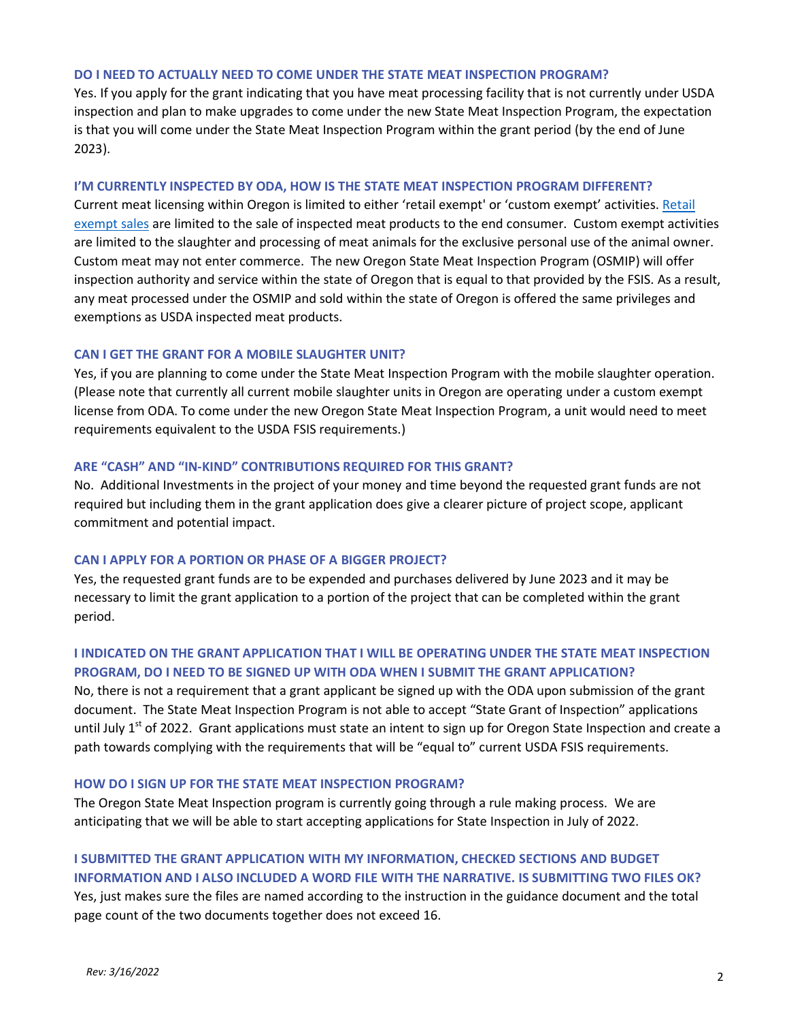#### **DO I NEED TO ACTUALLY NEED TO COME UNDER THE STATE MEAT INSPECTION PROGRAM?**

Yes. If you apply for the grant indicating that you have meat processing facility that is not currently under USDA inspection and plan to make upgrades to come under the new State Meat Inspection Program, the expectation is that you will come under the State Meat Inspection Program within the grant period (by the end of June 2023).

#### **I'M CURRENTLY INSPECTED BY ODA, HOW IS THE STATE MEAT INSPECTION PROGRAM DIFFERENT?**

Current meat licensing within Oregon is limited to either 'retail exempt' or 'custom exempt' activities. [Retail](https://www.govinfo.gov/content/pkg/CFR-2017-title9-vol2/xml/CFR-2017-title9-vol2-sec303-1.xml)  [exempt sales](https://www.govinfo.gov/content/pkg/CFR-2017-title9-vol2/xml/CFR-2017-title9-vol2-sec303-1.xml) are limited to the sale of inspected meat products to the end consumer. Custom exempt activities are limited to the slaughter and processing of meat animals for the exclusive personal use of the animal owner. Custom meat may not enter commerce. The new Oregon State Meat Inspection Program (OSMIP) will offer inspection authority and service within the state of Oregon that is equal to that provided by the FSIS. As a result, any meat processed under the OSMIP and sold within the state of Oregon is offered the same privileges and exemptions as USDA inspected meat products.

## **CAN I GET THE GRANT FOR A MOBILE SLAUGHTER UNIT?**

Yes, if you are planning to come under the State Meat Inspection Program with the mobile slaughter operation. (Please note that currently all current mobile slaughter units in Oregon are operating under a custom exempt license from ODA. To come under the new Oregon State Meat Inspection Program, a unit would need to meet requirements equivalent to the USDA FSIS requirements.)

#### **ARE "CASH" AND "IN-KIND" CONTRIBUTIONS REQUIRED FOR THIS GRANT?**

No. Additional Investments in the project of your money and time beyond the requested grant funds are not required but including them in the grant application does give a clearer picture of project scope, applicant commitment and potential impact.

### **CAN I APPLY FOR A PORTION OR PHASE OF A BIGGER PROJECT?**

Yes, the requested grant funds are to be expended and purchases delivered by June 2023 and it may be necessary to limit the grant application to a portion of the project that can be completed within the grant period.

# **I INDICATED ON THE GRANT APPLICATION THAT I WILL BE OPERATING UNDER THE STATE MEAT INSPECTION PROGRAM, DO I NEED TO BE SIGNED UP WITH ODA WHEN I SUBMIT THE GRANT APPLICATION?**

No, there is not a requirement that a grant applicant be signed up with the ODA upon submission of the grant document. The State Meat Inspection Program is not able to accept "State Grant of Inspection" applications until July  $1^{st}$  of 2022. Grant applications must state an intent to sign up for Oregon State Inspection and create a path towards complying with the requirements that will be "equal to" current USDA FSIS requirements.

#### **HOW DO I SIGN UP FOR THE STATE MEAT INSPECTION PROGRAM?**

The Oregon State Meat Inspection program is currently going through a rule making process. We are anticipating that we will be able to start accepting applications for State Inspection in July of 2022.

# **I SUBMITTED THE GRANT APPLICATION WITH MY INFORMATION, CHECKED SECTIONS AND BUDGET INFORMATION AND I ALSO INCLUDED A WORD FILE WITH THE NARRATIVE. IS SUBMITTING TWO FILES OK?**

Yes, just makes sure the files are named according to the instruction in the guidance document and the total page count of the two documents together does not exceed 16.